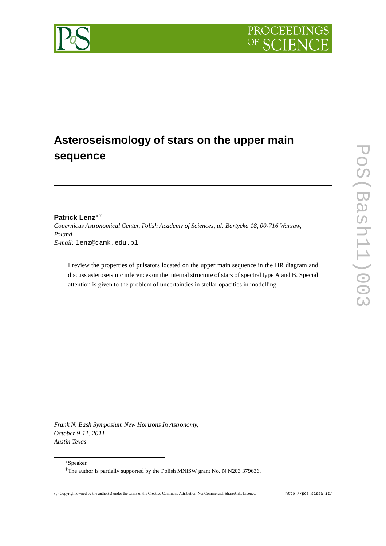

# **Asteroseismology of stars on the upper main sequence**

# **Patrick Lenz**<sup>∗</sup> †

*Copernicus Astronomical Center, Polish Academy of Sciences, ul. Bartycka 18, 00-716 Warsaw, Poland E-mail:* lenz@camk.edu.pl

I review the properties of pulsators located on the upper main sequence in the HR diagram and discuss asteroseismic inferences on the internal structure of stars of spectral type A and B. Special attention is given to the problem of uncertainties in stellar opacities in modelling.

*Frank N. Bash Symposium New Horizons In Astronomy, October 9-11, 2011 Austin Texas*

<sup>∗</sup>Speaker.



<sup>&</sup>lt;sup>†</sup>The author is partially supported by the Polish MNiSW grant No. N N203 379636.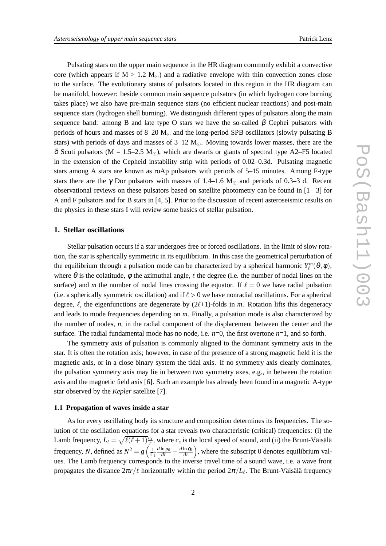Pulsating stars on the upper main sequence in the HR diagram commonly exhibit a convective core (which appears if  $M > 1.2$  M<sub>☉</sub>) and a radiative envelope with thin convection zones close to the surface. The evolutionary status of pulsators located in this region in the HR diagram can be manifold, however: beside common main sequence pulsators (in which hydrogen core burning takes place) we also have pre-main sequence stars (no efficient nuclear reactions) and post-main sequence stars (hydrogen shell burning). We distinguish different types of pulsators along the main sequence band: among B and late type O stars we have the so-called  $\beta$  Cephei pulsators with periods of hours and masses of 8–20  $M_{\odot}$  and the long-period SPB oscillators (slowly pulsating B stars) with periods of days and masses of  $3-12$  M<sub>☉</sub>. Moving towards lower masses, there are the δ Scuti pulsators (M = 1.5–2.5 M<sub>☉</sub>), which are dwarfs or giants of spectral type A2–F5 located in the extension of the Cepheid instability strip with periods of 0.02–0.3d. Pulsating magnetic stars among A stars are known as roAp pulsators with periods of 5–15 minutes. Among F-type stars there are the  $\gamma$  Dor pulsators with masses of 1.4–1.6 M<sub> $\odot$ </sub> and periods of 0.3–3 d. Recent observational reviews on these pulsators based on satellite photometry can be found in  $[1-3]$  for A and F pulsators and for B stars in [4, 5]. Prior to the discussion of recent asteroseismic results on the physics in these stars I will review some basics of stellar pulsation.

# **1. Stellar oscillations**

Stellar pulsation occurs if a star undergoes free or forced oscillations. In the limit of slow rotation, the star is spherically symmetric in its equilibrium. In this case the geometrical perturbation of the equilibrium through a pulsation mode can be characterized by a spherical harmonic  $Y_{\ell}^{m}(\theta,\phi)$ , where  $\theta$  is the colatitude,  $\phi$  the azimuthal angle,  $\ell$  the degree (i.e. the number of nodal lines on the surface) and *m* the number of nodal lines crossing the equator. If  $\ell = 0$  we have radial pulsation (i.e. a spherically symmetric oscillation) and if  $\ell > 0$  we have nonradial oscillations. For a spherical degree,  $\ell$ , the eigenfunctions are degenerate by  $(2\ell+1)$ -folds in *m*. Rotation lifts this degeneracy and leads to mode frequencies depending on *m*. Finally, a pulsation mode is also characterized by the number of nodes, *n*, in the radial component of the displacement between the center and the surface. The radial fundamental mode has no node, i.e.  $n=0$ , the first overtone  $n=1$ , and so forth.

The symmetry axis of pulsation is commonly aligned to the dominant symmetry axis in the star. It is often the rotation axis; however, in case of the presence of a strong magnetic field it is the magnetic axis, or in a close binary system the tidal axis. If no symmetry axis clearly dominates, the pulsation symmetry axis may lie in between two symmetry axes, e.g., in between the rotation axis and the magnetic field axis [6]. Such an example has already been found in a magnetic A-type star observed by the *Kepler* satellite [7].

#### **1.1 Propagation of waves inside a star**

As for every oscillating body its structure and composition determines its frequencies. The solution of the oscillation equations for a star reveals two characteristic (critical) frequencies: (i) the Lamb frequency,  $L_{\ell} = \sqrt{\ell(\ell+1)} \frac{c_s}{r}$ , where  $c_s$  is the local speed of sound, and (ii) the Brunt-Väisälä *r* frequency, *N*, defined as  $N^2 = g \left( \frac{1}{\Gamma} \right)$  $\Gamma_1$  $\frac{d \ln p_0}{dr} - \frac{d \ln p_0}{dr}$ , where the subscript 0 denotes equilibrium values. The Lamb frequency corresponds to the inverse travel time of a sound wave, i.e. a wave front propagates the distance 2π*r*/ℓ horizontally within the period 2π/*L*<sup>ℓ</sup> . The Brunt-Väisälä frequency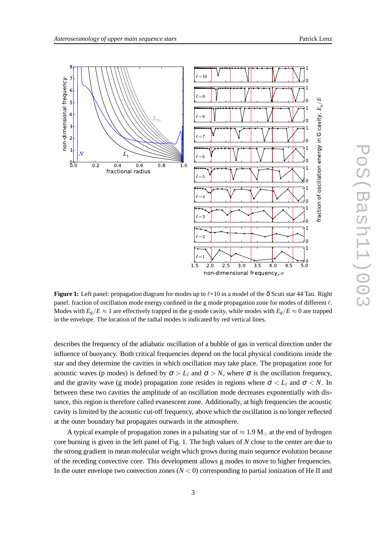

**Figure 1:** Left panel: propagation diagram for modes up to  $\ell$ =10 in a model of the  $\delta$  Scuti star 44 Tau. Right panel: fraction of oscillation mode energy confined in the g mode propagation zone for modes of different  $\ell$ . Modes with  $E_g/E \approx 1$  are effectively trapped in the g-mode cavity, while modes with  $E_g/E \approx 0$  are trapped in the envelope. The location of the radial modes is indicated by red vertical lines.

describes the frequency of the adiabatic oscillation of a bubble of gas in vertical direction under the influence of buoyancy. Both critical frequencies depend on the local physical conditions inside the star and they determine the cavities in which oscillation may take place. The propagation zone for acoustic waves (p modes) is defined by  $\sigma > L_{\ell}$  and  $\sigma > N$ , where  $\sigma$  is the oscillation frequency, and the gravity wave (g mode) propagation zone resides in regions where  $\sigma < L_{\ell}$  and  $\sigma < N$ . In between these two cavities the amplitude of an oscillation mode decreases exponentially with distance, this region is therefore called evanescent zone. Additionally, at high frequencies the acoustic cavity is limited by the acoustic cut-off frequency, above which the oscillation is no longer reflected at the outer boundary but propagates outwards in the atmosphere.

A typical example of propagation zones in a pulsating star of  $\approx 1.9$  M<sub> $\odot$ </sub> at the end of hydrogen core burning is given in the left panel of Fig. 1. The high values of *N* close to the center are due to the strong gradient in mean molecular weight which grows during main sequence evolution because of the receding convective core. This development allows g modes to move to higher frequencies. In the outer envelope two convection zones  $(N < 0)$  corresponding to partial ionization of He II and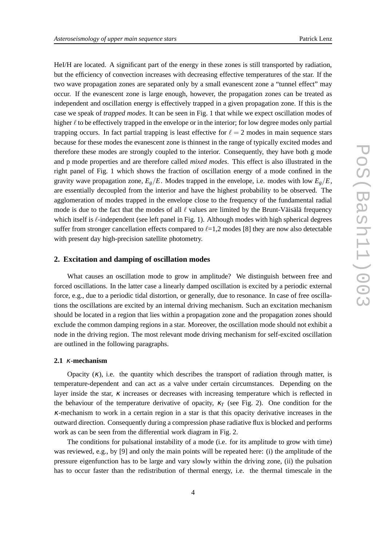HeI/H are located. A significant part of the energy in these zones is still transported by radiation, but the efficiency of convection increases with decreasing effective temperatures of the star. If the two wave propagation zones are separated only by a small evanescent zone a "tunnel effect" may occur. If the evanescent zone is large enough, however, the propagation zones can be treated as independent and oscillation energy is effectively trapped in a given propagation zone. If this is the case we speak of *trapped modes*. It can be seen in Fig. 1 that while we expect oscillation modes of higher  $\ell$  to be effectively trapped in the envelope or in the interior; for low degree modes only partial trapping occurs. In fact partial trapping is least effective for  $\ell = 2$  modes in main sequence stars because for these modes the evanescent zone is thinnest in the range of typically excited modes and therefore these modes are strongly coupled to the interior. Consequently, they have both g mode and p mode properties and are therefore called *mixed modes*. This effect is also illustrated in the right panel of Fig. 1 which shows the fraction of oscillation energy of a mode confined in the gravity wave propagation zone,  $E_g/E$ . Modes trapped in the envelope, i.e. modes with low  $E_g/E$ , are essentially decoupled from the interior and have the highest probability to be observed. The agglomeration of modes trapped in the envelope close to the frequency of the fundamental radial mode is due to the fact that the modes of all  $\ell$  values are limited by the Brunt-Väisälä frequency which itself is  $\ell$ -independent (see left panel in Fig. 1). Although modes with high spherical degrees suffer from stronger cancellation effects compared to  $\ell$ =1,2 modes [8] they are now also detectable with present day high-precision satellite photometry.

# **2. Excitation and damping of oscillation modes**

What causes an oscillation mode to grow in amplitude? We distinguish between free and forced oscillations. In the latter case a linearly damped oscillation is excited by a periodic external force, e.g., due to a periodic tidal distortion, or generally, due to resonance. In case of free oscillations the oscillations are excited by an internal driving mechanism. Such an excitation mechanism should be located in a region that lies within a propagation zone and the propagation zones should exclude the common damping regions in a star. Moreover, the oscillation mode should not exhibit a node in the driving region. The most relevant mode driving mechanism for self-excited oscillation are outlined in the following paragraphs.

#### **2.1** <sup>κ</sup>**-mechanism**

Opacity  $(\kappa)$ , i.e. the quantity which describes the transport of radiation through matter, is temperature-dependent and can act as a valve under certain circumstances. Depending on the layer inside the star, <sup>κ</sup> increases or decreases with increasing temperature which is reflected in the behaviour of the temperature derivative of opacity,  $\kappa_T$  (see Fig. 2). One condition for the <sup>κ</sup>-mechanism to work in a certain region in a star is that this opacity derivative increases in the outward direction. Consequently during a compression phase radiative flux is blocked and performs work as can be seen from the differential work diagram in Fig. 2.

The conditions for pulsational instability of a mode (i.e. for its amplitude to grow with time) was reviewed, e.g., by [9] and only the main points will be repeated here: (i) the amplitude of the pressure eigenfunction has to be large and vary slowly within the driving zone, (ii) the pulsation has to occur faster than the redistribution of thermal energy, i.e. the thermal timescale in the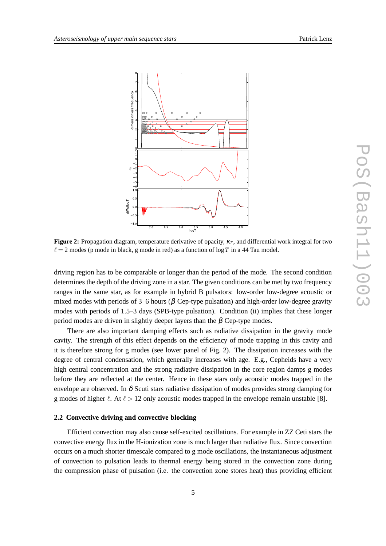

**Figure 2:** Propagation diagram, temperature derivative of opacity,  $κ_T$ , and differential work integral for two  $\ell = 2$  modes (p mode in black, g mode in red) as a function of  $\log T$  in a 44 Tau model.

driving region has to be comparable or longer than the period of the mode. The second condition determines the depth of the driving zone in a star. The given conditions can be met by two frequency ranges in the same star, as for example in hybrid B pulsators: low-order low-degree acoustic or mixed modes with periods of 3–6 hours ( $\beta$  Cep-type pulsation) and high-order low-degree gravity modes with periods of 1.5–3 days (SPB-type pulsation). Condition (ii) implies that these longer period modes are driven in slightly deeper layers than the β Cep-type modes.

There are also important damping effects such as radiative dissipation in the gravity mode cavity. The strength of this effect depends on the efficiency of mode trapping in this cavity and it is therefore strong for g modes (see lower panel of Fig. 2). The dissipation increases with the degree of central condensation, which generally increases with age. E.g., Cepheids have a very high central concentration and the strong radiative dissipation in the core region damps g modes before they are reflected at the center. Hence in these stars only acoustic modes trapped in the envelope are observed. In  $\delta$  Scuti stars radiative dissipation of modes provides strong damping for g modes of higher  $\ell$ . At  $\ell > 12$  only acoustic modes trapped in the envelope remain unstable [8].

#### **2.2 Convective driving and convective blocking**

Efficient convection may also cause self-excited oscillations. For example in ZZ Ceti stars the convective energy flux in the H-ionization zone is much larger than radiative flux. Since convection occurs on a much shorter timescale compared to g mode oscillations, the instantaneous adjustment of convection to pulsation leads to thermal energy being stored in the convection zone during the compression phase of pulsation (i.e. the convection zone stores heat) thus providing efficient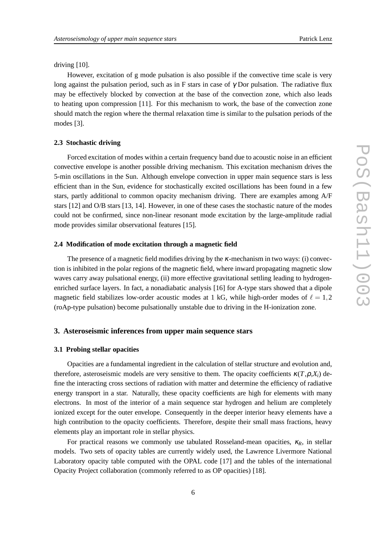driving [10].

However, excitation of g mode pulsation is also possible if the convective time scale is very long against the pulsation period, such as in F stars in case of  $\gamma$  Dor pulsation. The radiative flux may be effectively blocked by convection at the base of the convection zone, which also leads to heating upon compression [11]. For this mechanism to work, the base of the convection zone should match the region where the thermal relaxation time is similar to the pulsation periods of the modes [3].

#### **2.3 Stochastic driving**

Forced excitation of modes within a certain frequency band due to acoustic noise in an efficient convective envelope is another possible driving mechanism. This excitation mechanism drives the 5-min oscillations in the Sun. Although envelope convection in upper main sequence stars is less efficient than in the Sun, evidence for stochastically excited oscillations has been found in a few stars, partly additional to common opacity mechanism driving. There are examples among A/F stars [12] and O/B stars [13, 14]. However, in one of these cases the stochastic nature of the modes could not be confirmed, since non-linear resonant mode excitation by the large-amplitude radial mode provides similar observational features [15].

# **2.4 Modification of mode excitation through a magnetic field**

The presence of a magnetic field modifies driving by the  $\kappa$ -mechanism in two ways: (i) convection is inhibited in the polar regions of the magnetic field, where inward propagating magnetic slow waves carry away pulsational energy, (ii) more effective gravitational settling leading to hydrogenenriched surface layers. In fact, a nonadiabatic analysis [16] for A-type stars showed that a dipole magnetic field stabilizes low-order acoustic modes at 1 kG, while high-order modes of  $\ell = 1,2$ (roAp-type pulsation) become pulsationally unstable due to driving in the H-ionization zone.

## **3. Asteroseismic inferences from upper main sequence stars**

#### **3.1 Probing stellar opacities**

Opacities are a fundamental ingredient in the calculation of stellar structure and evolution and, therefore, asteroseismic models are very sensitive to them. The opacity coefficients  $\kappa(T, \rho, X_i)$  define the interacting cross sections of radiation with matter and determine the efficiency of radiative energy transport in a star. Naturally, these opacity coefficients are high for elements with many electrons. In most of the interior of a main sequence star hydrogen and helium are completely ionized except for the outer envelope. Consequently in the deeper interior heavy elements have a high contribution to the opacity coefficients. Therefore, despite their small mass fractions, heavy elements play an important role in stellar physics.

For practical reasons we commonly use tabulated Rosseland-mean opacities,  $\kappa_R$ , in stellar models. Two sets of opacity tables are currently widely used, the Lawrence Livermore National Laboratory opacity table computed with the OPAL code [17] and the tables of the international Opacity Project collaboration (commonly referred to as OP opacities) [18].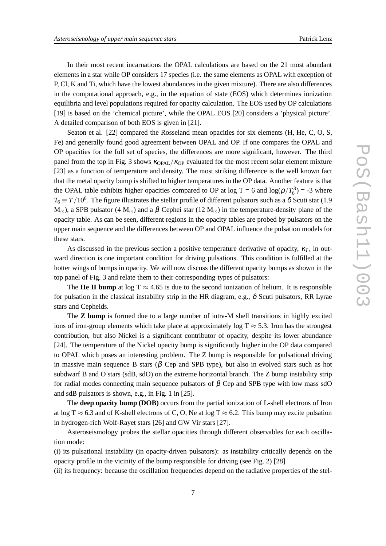In their most recent incarnations the OPAL calculations are based on the 21 most abundant elements in a star while OP considers 17 species (i.e. the same elements as OPAL with exception of P, Cl, K and Ti, which have the lowest abundances in the given mixture). There are also differences in the computational approach, e.g., in the equation of state (EOS) which determines ionization equilibria and level populations required for opacity calculation. The EOS used by OP calculations [19] is based on the 'chemical picture', while the OPAL EOS [20] considers a 'physical picture'. A detailed comparison of both EOS is given in [21].

Seaton et al. [22] compared the Rosseland mean opacities for six elements (H, He, C, O, S, Fe) and generally found good agreement between OPAL and OP. If one compares the OPAL and OP opacities for the full set of species, the differences are more significant, however. The third panel from the top in Fig. 3 shows  $\kappa_{OPAI}/\kappa_{OP}$  evaluated for the most recent solar element mixture [23] as a function of temperature and density. The most striking difference is the well known fact that the metal opacity bump is shifted to higher temperatures in the OP data. Another feature is that the OPAL table exhibits higher opacities compared to OP at  $\log T = 6$  and  $\log(\rho/T_6^3) = -3$  where  $T_6 \equiv T/10^6.$  The figure illustrates the stellar profile of different pulsators such as a  $\delta$  Scuti star (1.9  $M_{\odot}$ ), a SPB pulsator (4  $M_{\odot}$ ) and a  $\beta$  Cephei star (12  $M_{\odot}$ ) in the temperature-density plane of the opacity table. As can be seen, different regions in the opacity tables are probed by pulsators on the upper main sequence and the differences between OP and OPAL influence the pulsation models for these stars.

As discussed in the previous section a positive temperature derivative of opacity,  $\kappa_T$ , in outward direction is one important condition for driving pulsations. This condition is fulfilled at the hotter wings of bumps in opacity. We will now discuss the different opacity bumps as shown in the top panel of Fig. 3 and relate them to their corresponding types of pulsators:

The **He II bump** at  $\log T \approx 4.65$  is due to the second ionization of helium. It is responsible for pulsation in the classical instability strip in the HR diagram, e.g.,  $\delta$  Scuti pulsators, RR Lyrae stars and Cepheids.

The **Z bump** is formed due to a large number of intra-M shell transitions in highly excited ions of iron-group elements which take place at approximately log  $T \approx 5.3$ . Iron has the strongest contribution, but also Nickel is a significant contributor of opacity, despite its lower abundance [24]. The temperature of the Nickel opacity bump is significantly higher in the OP data compared to OPAL which poses an interesting problem. The Z bump is responsible for pulsational driving in massive main sequence B stars ( $\beta$  Cep and SPB type), but also in evolved stars such as hot subdwarf B and O stars (sdB, sdO) on the extreme horizontal branch. The Z bump instability strip for radial modes connecting main sequence pulsators of  $\beta$  Cep and SPB type with low mass sdO and sdB pulsators is shown, e.g., in Fig. 1 in [25].

The **deep opacity bump (DOB)** occurs from the partial ionization of L-shell electrons of Iron at log T  $\approx$  6.3 and of K-shell electrons of C, O, Ne at log T  $\approx$  6.2. This bump may excite pulsation in hydrogen-rich Wolf-Rayet stars [26] and GW Vir stars [27].

Asteroseismology probes the stellar opacities through different observables for each oscillation mode:

(i) its pulsational instability (in opacity-driven pulsators): as instability critically depends on the opacity profile in the vicinity of the bump responsible for driving (see Fig. 2) [28]

(ii) its frequency: because the oscillation frequencies depend on the radiative properties of the stel-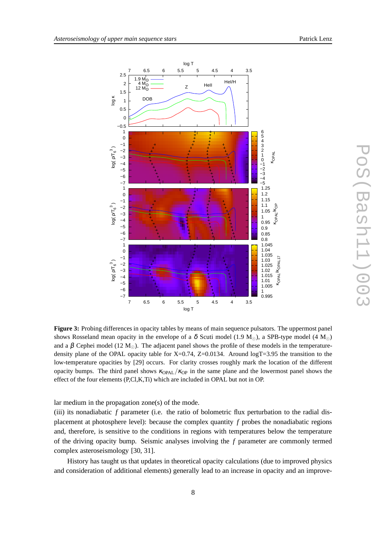

**Figure 3:** Probing differences in opacity tables by means of main sequence pulsators. The uppermost panel shows Rosseland mean opacity in the envelope of a  $\delta$  Scuti model (1.9 M<sub>☉</sub>), a SPB-type model (4 M<sub>☉</sub>) and a β Cephei model (12 M<sub>☉</sub>). The adjacent panel shows the profile of these models in the temperaturedensity plane of the OPAL opacity table for X=0.74, Z=0.0134. Around  $logT=3.95$  the transition to the low-temperature opacities by [29] occurs. For clarity crosses roughly mark the location of the different opacity bumps. The third panel shows  $\kappa_{OPAL}/\kappa_{OP}$  in the same plane and the lowermost panel shows the effect of the four elements (P,Cl,K,Ti) which are included in OPAL but not in OP.

lar medium in the propagation zone(s) of the mode.

(iii) its nonadiabatic *f* parameter (i.e. the ratio of bolometric flux perturbation to the radial displacement at photosphere level): because the complex quantity *f* probes the nonadiabatic regions and, therefore, is sensitive to the conditions in regions with temperatures below the temperature of the driving opacity bump. Seismic analyses involving the *f* parameter are commonly termed complex asteroseismology [30, 31].

History has taught us that updates in theoretical opacity calculations (due to improved physics and consideration of additional elements) generally lead to an increase in opacity and an improve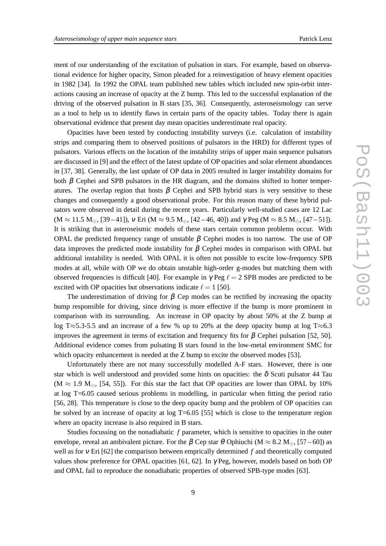ment of our understanding of the excitation of pulsation in stars. For example, based on observational evidence for higher opacity, Simon pleaded for a reinvestigation of heavy element opacities in 1982 [34]. In 1992 the OPAL team published new tables which included new spin-orbit interactions causing an increase of opacity at the Z bump. This led to the successful explanation of the driving of the observed pulsation in B stars [35, 36]. Consequently, asteroseismology can serve as a tool to help us to identify flaws in certain parts of the opacity tables. Today there is again observational evidence that present day mean opacities underestimate real opacity.

Opacities have been tested by conducting instability surveys (i.e. calculation of instability strips and comparing them to observed positions of pulsators in the HRD) for different types of pulsators. Various effects on the location of the instability strips of upper main sequence pulsators are discussed in [9] and the effect of the latest update of OP opacities and solar element abundances in [37, 38]. Generally, the last update of OP data in 2005 resulted in larger instability domains for both  $\beta$  Cephei and SPB pulsators in the HR diagram, and the domains shifted to hotter temperatures. The overlap region that hosts  $\beta$  Cephei and SPB hybrid stars is very sensitive to these changes and consequently a good observational probe. For this reason many of these hybrid pulsators were observed in detail during the recent years. Particularly well-studied cases are 12 Lac  $(M \approx 11.5 M_{\odot}$ , [39 – 41]), v Eri (M  $\approx 9.5 M_{\odot}$ , [42 – 46, 40]) and  $\gamma$  Peg (M  $\approx 8.5 M_{\odot}$ , [47 – 51]). It is striking that in asteroseismic models of these stars certain common problems occur. With OPAL the predicted frequency range of unstable  $β$  Cephei modes is too narrow. The use of OP data improves the predicted mode instability for  $\beta$  Cephei modes in comparison with OPAL but additional instability is needed. With OPAL it is often not possible to excite low-frequency SPB modes at all, while with OP we do obtain unstable high-order g-modes but matching them with observed frequencies is difficult [40]. For example in  $\gamma$  Peg  $\ell = 2$  SPB modes are predicted to be excited with OP opacities but observations indicate  $\ell = 1$  [50].

The underestimation of driving for  $\beta$  Cep modes can be rectified by increasing the opacity bump responsible for driving, since driving is more effective if the bump is more prominent in comparison with its surrounding. An increase in OP opacity by about 50% at the Z bump at log T≈5.3-5.5 and an increase of a few % up to 20% at the deep opacity bump at log T≈6.3 improves the agreement in terms of excitation and frequency fits for  $\beta$  Cephei pulsation [52, 50]. Additional evidence comes from pulsating B stars found in the low-metal environment SMC for which opacity enhancement is needed at the Z bump to excite the observed modes [53].

Unfortunately there are not many successfully modelled A-F stars. However, there is one star which is well understood and provided some hints on opacities: the  $\delta$  Scuti pulsator 44 Tau (M  $\approx$  1.9 M<sub>☉</sub>, [54, 55]). For this star the fact that OP opacities are lower than OPAL by 10% at log T=6.05 caused serious problems in modelling, in particular when fitting the period ratio [56, 28]. This temperature is close to the deep opacity bump and the problem of OP opacities can be solved by an increase of opacity at log T=6.05 [55] which is close to the temperature region where an opacity increase is also required in B stars.

Studies focussing on the nonadiabatic *f* parameter, which is sensitive to opacities in the outer envelope, reveal an ambivalent picture. For the  $\beta$  Cep star  $\theta$  Ophiuchi (M  $\approx 8.2$  M<sub>⊙</sub>, [57 – 60]) as well as for <sup>ν</sup> Eri [62] the comparison between emprically determined *f* and theoretically computed values show preference for OPAL opacities [61, 62]. In  $\gamma$  Peg, however, models based on both OP and OPAL fail to reproduce the nonadiabatic properties of observed SPB-type modes [63].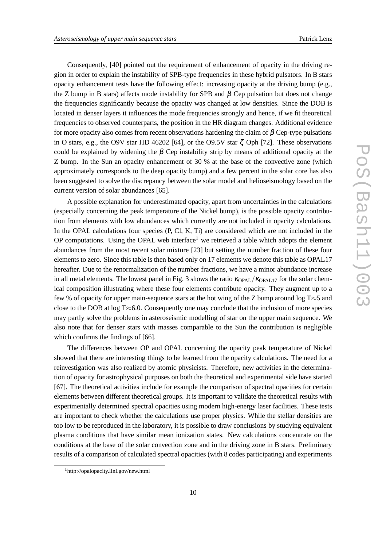Consequently, [40] pointed out the requirement of enhancement of opacity in the driving region in order to explain the instability of SPB-type frequencies in these hybrid pulsators. In B stars opacity enhancement tests have the following effect: increasing opacity at the driving bump (e.g., the Z bump in B stars) affects mode instability for SPB and  $\beta$  Cep pulsation but does not change the frequencies significantly because the opacity was changed at low densities. Since the DOB is located in denser layers it influences the mode frequencies strongly and hence, if we fit theoretical frequencies to observed counterparts, the position in the HR diagram changes. Additional evidence for more opacity also comes from recent observations hardening the claim of  $\beta$  Cep-type pulsations in O stars, e.g., the O9V star HD 46202 [64], or the O9.5V star  $\zeta$  Oph [72]. These observations could be explained by widening the  $\beta$  Cep instability strip by means of additional opacity at the Z bump. In the Sun an opacity enhancement of 30 % at the base of the convective zone (which approximately corresponds to the deep opacity bump) and a few percent in the solar core has also been suggested to solve the discrepancy between the solar model and helioseismology based on the current version of solar abundances [65].

A possible explanation for underestimated opacity, apart from uncertainties in the calculations (especially concerning the peak temperature of the Nickel bump), is the possible opacity contribution from elements with low abundances which currently are not included in opacity calculations. In the OPAL calculations four species (P, Cl, K, Ti) are considered which are not included in the OP computations. Using the OPAL web interface<sup>1</sup> we retrieved a table which adopts the element abundances from the most recent solar mixture [23] but setting the number fraction of these four elements to zero. Since this table is then based only on 17 elements we denote this table as OPAL17 hereafter. Due to the renormalization of the number fractions, we have a minor abundance increase in all metal elements. The lowest panel in Fig. 3 shows the ratio  $\kappa_{OPAL}/\kappa_{OPAL17}$  for the solar chemical composition illustrating where these four elements contribute opacity. They augment up to a few % of opacity for upper main-sequence stars at the hot wing of the Z bump around log T≈5 and close to the DOB at log T≈6.0. Consequently one may conclude that the inclusion of more species may partly solve the problems in asteroseismic modelling of star on the upper main sequence. We also note that for denser stars with masses comparable to the Sun the contribution is negligible which confirms the findings of [66].

The differences between OP and OPAL concerning the opacity peak temperature of Nickel showed that there are interesting things to be learned from the opacity calculations. The need for a reinvestigation was also realized by atomic physicists. Therefore, new activities in the determination of opacity for astrophysical purposes on both the theoretical and experimental side have started [67]. The theoretical activities include for example the comparison of spectral opacities for certain elements between different theoretical groups. It is important to validate the theoretical results with experimentally determined spectral opacities using modern high-energy laser facilities. These tests are important to check whether the calculations use proper physics. While the stellar densities are too low to be reproduced in the laboratory, it is possible to draw conclusions by studying equivalent plasma conditions that have similar mean ionization states. New calculations concentrate on the conditions at the base of the solar convection zone and in the driving zone in B stars. Preliminary results of a comparison of calculated spectral opacities (with 8 codes participating) and experiments

<sup>1</sup>http://opalopacity.llnl.gov/new.html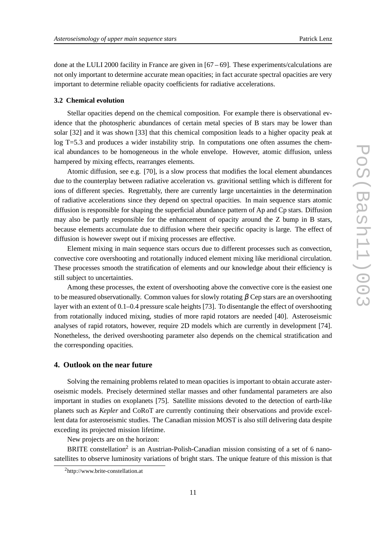done at the LULI 2000 facility in France are given in [67 – 69]. These experiments/calculations are not only important to determine accurate mean opacities; in fact accurate spectral opacities are very important to determine reliable opacity coefficients for radiative accelerations.

#### **3.2 Chemical evolution**

Stellar opacities depend on the chemical composition. For example there is observational evidence that the photospheric abundances of certain metal species of B stars may be lower than solar [32] and it was shown [33] that this chemical composition leads to a higher opacity peak at log T=5.3 and produces a wider instability strip. In computations one often assumes the chemical abundances to be homogeneous in the whole envelope. However, atomic diffusion, unless hampered by mixing effects, rearranges elements.

Atomic diffusion, see e.g. [70], is a slow process that modifies the local element abundances due to the counterplay between radiative acceleration vs. gravitional settling which is different for ions of different species. Regrettably, there are currently large uncertainties in the determination of radiative accelerations since they depend on spectral opacities. In main sequence stars atomic diffusion is responsible for shaping the superficial abundance pattern of Ap and Cp stars. Diffusion may also be partly responsible for the enhancement of opacity around the Z bump in B stars, because elements accumulate due to diffusion where their specific opacity is large. The effect of diffusion is however swept out if mixing processes are effective.

Element mixing in main sequence stars occurs due to different processes such as convection, convective core overshooting and rotationally induced element mixing like meridional circulation. These processes smooth the stratification of elements and our knowledge about their efficiency is still subject to uncertainties.

Among these processes, the extent of overshooting above the convective core is the easiest one to be measured observationally. Common values for slowly rotating  $\beta$  Cep stars are an overshooting layer with an extent of 0.1–0.4 pressure scale heights [73]. To disentangle the effect of overshooting from rotationally induced mixing, studies of more rapid rotators are needed [40]. Asteroseismic analyses of rapid rotators, however, require 2D models which are currently in development [74]. Nonetheless, the derived overshooting parameter also depends on the chemical stratification and the corresponding opacities.

## **4. Outlook on the near future**

Solving the remaining problems related to mean opacities is important to obtain accurate asteroseismic models. Precisely determined stellar masses and other fundamental parameters are also important in studies on exoplanets [75]. Satellite missions devoted to the detection of earth-like planets such as *Kepler* and CoRoT are currently continuing their observations and provide excellent data for asteroseismic studies. The Canadian mission MOST is also still delivering data despite exceding its projected mission lifetime.

New projects are on the horizon:

BRITE constellation<sup>2</sup> is an Austrian-Polish-Canadian mission consisting of a set of 6 nanosatellites to observe luminosity variations of bright stars. The unique feature of this mission is that

<sup>2</sup>http://www.brite-constellation.at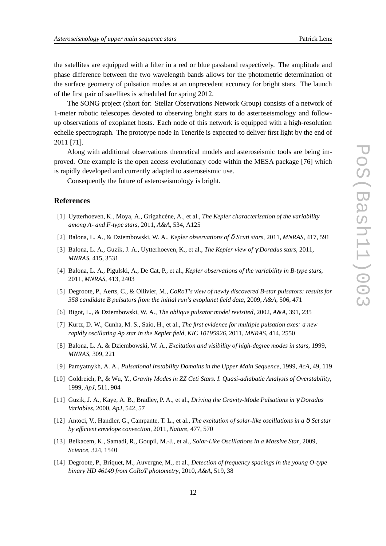the satellites are equipped with a filter in a red or blue passband respectively. The amplitude and phase difference between the two wavelength bands allows for the photometric determination of the surface geometry of pulsation modes at an unprecedent accuracy for bright stars. The launch of the first pair of satellites is scheduled for spring 2012.

The SONG project (short for: Stellar Observations Network Group) consists of a network of 1-meter robotic telescopes devoted to observing bright stars to do asteroseismology and followup observations of exoplanet hosts. Each node of this network is equipped with a high-resolution echelle spectrograph. The prototype node in Tenerife is expected to deliver first light by the end of 2011 [71].

Along with additional observations theoretical models and asteroseismic tools are being improved. One example is the open access evolutionary code within the MESA package [76] which is rapidly developed and currently adapted to asteroseismic use.

Consequently the future of asteroseismology is bright.

# **References**

- [1] Uytterhoeven, K., Moya, A., Grigahcéne, A., et al., *The Kepler characterization of the variability among A- and F-type stars*, 2011, *A&A*, 534, A125
- [2] Balona, L. A., & Dziembowski, W. A., *Kepler observations of* δ *Scuti stars*, 2011, *MNRAS*, 417, 591
- [3] Balona, L. A., Guzik, J. A., Uytterhoeven, K., et al., *The Kepler view of* γ *Doradus stars*, 2011, *MNRAS*, 415, 3531
- [4] Balona, L. A., Pigulski, A., De Cat, P., et al., *Kepler observations of the variability in B-type stars*, 2011, *MNRAS*, 413, 2403
- [5] Degroote, P., Aerts, C., & Ollivier, M., *CoRoT's view of newly discovered B-star pulsators: results for 358 candidate B pulsators from the initial run's exoplanet field data*, 2009, *A&A*, 506, 471
- [6] Bigot, L., & Dziembowski, W. A., *The oblique pulsator model revisited*, 2002, *A&A*, 391, 235
- [7] Kurtz, D. W., Cunha, M. S., Saio, H., et al., *The first evidence for multiple pulsation axes: a new rapidly oscillating Ap star in the Kepler field, KIC 10195926*, 2011, *MNRAS*, 414, 2550
- [8] Balona, L. A. & Dziembowski, W. A., *Excitation and visibility of high-degree modes in stars*, 1999, *MNRAS*, 309, 221
- [9] Pamyatnykh, A. A., *Pulsational Instability Domains in the Upper Main Sequence*, 1999, *AcA*, 49, 119
- [10] Goldreich, P., & Wu, Y., *Gravity Modes in ZZ Ceti Stars. I. Quasi-adiabatic Analysis of Overstability*, 1999, *ApJ*, 511, 904
- [11] Guzik, J. A., Kaye, A. B., Bradley, P. A., et al., *Driving the Gravity-Mode Pulsations in* γ *Doradus Variables*, 2000, *ApJ*, 542, 57
- [12] Antoci, V., Handler, G., Campante, T. L., et al., *The excitation of solar-like oscillations in a* δ *Sct star by efficient envelope convection*, 2011, *Nature*, 477, 570
- [13] Belkacem, K., Samadi, R., Goupil, M.-J., et al., *Solar-Like Oscillations in a Massive Star*, 2009, *Science*, 324, 1540
- [14] Degroote, P., Briquet, M., Auvergne, M., et al., *Detection of frequency spacings in the young O-type binary HD 46149 from CoRoT photometry*, 2010, *A&A*, 519, 38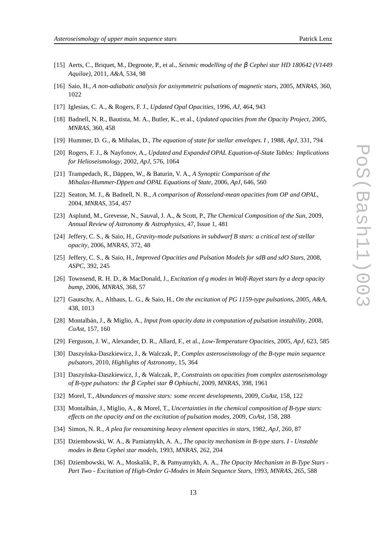- [15] Aerts, C., Briquet, M., Degroote, P., et al., *Seismic modelling of the* β *Cephei star HD 180642 (V1449 Aquilae)*, 2011, *A&A*, 534, 98
- [16] Saio, H., *A non-adiabatic analysis for axisymmetric pulsations of magnetic stars*, 2005, *MNRAS*, 360, 1022
- [17] Iglesias, C. A., & Rogers, F. J., *Updated Opal Opacities*, 1996, *AJ*, 464, 943
- [18] Badnell, N. R., Bautista, M. A., Butler, K., et al., *Updated opacities from the Opacity Project*, 2005, *MNRAS*, 360, 458
- [19] Hummer, D. G., & Mihalas, D., *The equation of state for stellar envelopes. I* , 1988, *ApJ*, 331, 794
- [20] Rogers, F. J., & Nayfonov, A., *Updated and Expanded OPAL Equation-of-State Tables: Implications for Helioseismology*, 2002, *ApJ*, 576, 1064
- [21] Trampedach, R., Däppen, W., & Baturin, V. A., *A Synoptic Comparison of the Mihalas-Hummer-Döpen and OPAL Equations of State, 2006, ApJ, 646, 560*
- [22] Seaton, M. J., & Badnell, N. R., *A comparison of Rosseland-mean opacities from OP and OPAL*, 2004, *MNRAS*, 354, 457
- [23] Asplund, M., Grevesse, N., Sauval, J. A., & Scott, P., *The Chemical Composition of the Sun*, 2009, *Annual Review of Astronomy & Astrophysics*, 47, Issue 1, 481
- [24] Jeffery, C. S., & Saio, H., *Gravity-mode pulsations in subdwarf B stars: a critical test of stellar opacity*, 2006, *MNRAS*, 372, 48
- [25] Jeffery, C. S., & Saio, H., *Improved Opacities and Pulsation Models for sdB and sdO Stars*, 2008, *ASPC*, 392, 245
- [26] Townsend, R. H. D., & MacDonald, J., *Excitation of g modes in Wolf-Rayet stars by a deep opacity bump*, 2006, *MNRAS*, 368, 57
- [27] Gautschy, A., Althaus, L. G., & Saio, H., *On the excitation of PG 1159-type pulsations*, 2005, *A&A*, 438, 1013
- [28] Montalbán, J., & Miglio, A., *Input from opacity data in computation of pulsation instability*, 2008, *CoAst*, 157, 160
- [29] Ferguson, J. W., Alexander, D. R., Allard, F., et al., *Low-Temperature Opacities*, 2005, *ApJ*, 623, 585
- [30] Daszyńska-Daszkiewicz, J., & Walczak, P., *Complex asteroseismology of the B-type main sequence pulsators*, 2010, *Highlights of Astronomy*, 15, 364
- [31] Daszyńska-Daszkiewicz, J., & Walczak, P., *Constraints on opacities from complex asteroseismology of B-type pulsators: the* β *Cephei star* θ *Ophiuchi*, 2009, *MNRAS*, 398, 1961
- [32] Morel, T., *Abundances of massive stars: some recent developments*, 2009, *CoAst*, 158, 122
- [33] Montalbán, J., Miglio, A., & Morel, T., *Uncertainties in the chemical composition of B-type stars: effects on the opacity and on the excitation of pulsation modes*, 2009, *CoAst*, 158, 288
- [34] Simon, N. R., *A plea for reexamining heavy element opacities in stars*, 1982, *ApJ*, 260, 87
- [35] Dziembowski, W. A., & Pamiatnykh, A. A., *The opacity mechanism in B-type stars. I Unstable modes in Beta Cephei star models*, 1993, *MNRAS*, 262, 204
- [36] Dziembowski, W. A., Moskalik, P., & Pamyatnykh, A. A., *The Opacity Mechanism in B-Type Stars - Part Two - Excitation of High-Order G-Modes in Main Sequence Stars*, 1993, *MNRAS*, 265, 588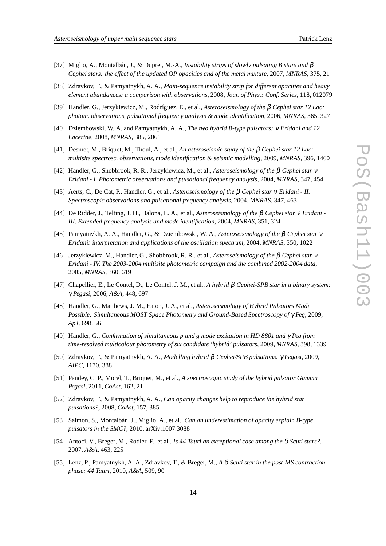- [37] Miglio, A., Montalbán, J., & Dupret, M.-A., *Instability strips of slowly pulsating B stars and* β *Cephei stars: the effect of the updated OP opacities and of the metal mixture*, 2007, *MNRAS*, 375, 21
- [38] Zdravkov, T., & Pamyatnykh, A. A., *Main-sequence instability strip for different opacities and heavy element abundances: a comparison with observations*, 2008, *Jour. of Phys.: Conf. Series*, 118, 012079
- [39] Handler, G., Jerzykiewicz, M., Rodríguez, E., et al., *Asteroseismology of the* β *Cephei star 12 Lac: photom. observations, pulsational frequency analysis & mode identification*, 2006, *MNRAS*, 365, 327
- [40] Dziembowski, W. A. and Pamyatnykh, A. A., *The two hybrid B-type pulsators:* <sup>ν</sup> *Eridani and 12 Lacertae*, 2008, *MNRAS*, 385, 2061
- [41] Desmet, M., Briquet, M., Thoul, A., et al., *An asteroseismic study of the* β *Cephei star 12 Lac: multisite spectrosc. observations, mode identification & seismic modelling*, 2009, *MNRAS*, 396, 1460
- [42] Handler, G., Shobbrook, R. R., Jerzykiewicz, M., et al., *Asteroseismology of the* β *Cephei star* <sup>ν</sup> *Eridani - I. Photometric observations and pulsational frequency analysis*, 2004, *MNRAS*, 347, 454
- [43] Aerts, C., De Cat, P., Handler, G., et al., *Asteroseismology of the* β *Cephei star* <sup>ν</sup> *Eridani II. Spectroscopic observations and pulsational frequency analysis*, 2004, *MNRAS*, 347, 463
- [44] De Ridder, J., Telting, J. H., Balona, L. A., et al., *Asteroseismology of the* β *Cephei star* <sup>ν</sup> *Eridani - III. Extended frequency analysis and mode identification*, 2004, *MNRAS*, 351, 324
- [45] Pamyatnykh, A. A., Handler, G., & Dziembowski, W. A., *Asteroseismology of the* β *Cephei star* <sup>ν</sup> *Eridani: interpretation and applications of the oscillation spectrum*, 2004, *MNRAS*, 350, 1022
- [46] Jerzykiewicz, M., Handler, G., Shobbrook, R. R., et al., *Asteroseismology of the* β *Cephei star* <sup>ν</sup> *Eridani - IV. The 2003-2004 multisite photometric campaign and the combined 2002-2004 data*, 2005, *MNRAS*, 360, 619
- [47] Chapellier, E., Le Contel, D., Le Contel, J. M., et al., *A hybrid* β *Cephei-SPB star in a binary system:* γ *Pegasi*, 2006, *A&A*, 448, 697
- [48] Handler, G., Matthews, J. M., Eaton, J. A., et al., *Asteroseismology of Hybrid Pulsators Made Possible: Simultaneous MOST Space Photometry and Ground-Based Spectroscopy of* γ *Peg*, 2009, *ApJ*, 698, 56
- [49] Handler, G., *Confirmation of simultaneous p and g mode excitation in HD 8801 and* γ *Peg from time-resolved multicolour photometry of six candidate 'hybrid' pulsators*, 2009, *MNRAS*, 398, 1339
- [50] Zdravkov, T., & Pamyatnykh, A. A., *Modelling hybrid* β *Cephei/SPB pulsations:* γ *Pegasi*, 2009, *AIPC*, 1170, 388
- [51] Pandey, C. P., Morel, T., Briquet, M., et al., *A spectroscopic study of the hybrid pulsator Gamma Pegasi*, 2011, *CoAst*, 162, 21
- [52] Zdravkov, T., & Pamyatnykh, A. A., *Can opacity changes help to reproduce the hybrid star pulsations?*, 2008, *CoAst*, 157, 385
- [53] Salmon, S., Montalbán, J., Miglio, A., et al., *Can an underestimation of opacity explain B-type pulsators in the SMC?*, 2010, arXiv:1007.3088
- [54] Antoci, V., Breger, M., Rodler, F., et al., *Is 44 Tauri an exceptional case among the* δ *Scuti stars?*, 2007, *A&A*, 463, 225
- [55] Lenz, P., Pamyatnykh, A. A., Zdravkov, T., & Breger, M., *A* δ *Scuti star in the post-MS contraction phase: 44 Tauri*, 2010, *A&A*, 509, 90